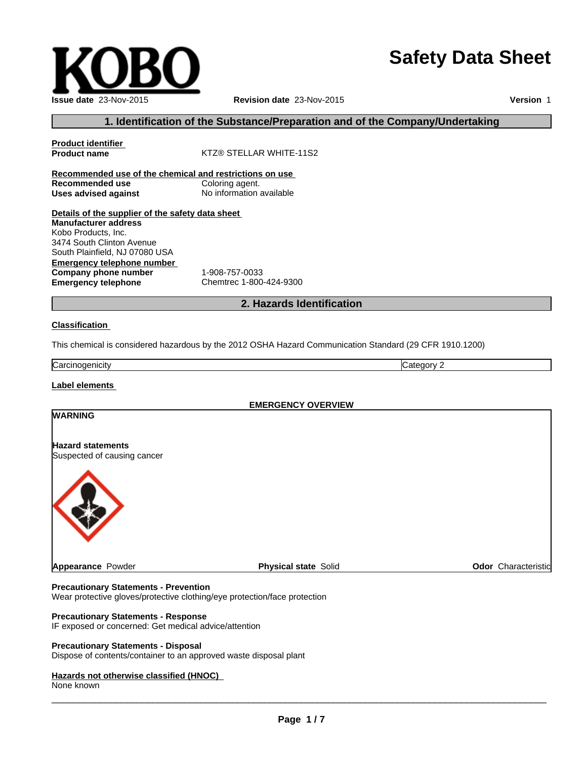# **Safety Data Sheet**

 $\overline{\phantom{a}}$  ,  $\overline{\phantom{a}}$  ,  $\overline{\phantom{a}}$  ,  $\overline{\phantom{a}}$  ,  $\overline{\phantom{a}}$  ,  $\overline{\phantom{a}}$  ,  $\overline{\phantom{a}}$  ,  $\overline{\phantom{a}}$  ,  $\overline{\phantom{a}}$  ,  $\overline{\phantom{a}}$  ,  $\overline{\phantom{a}}$  ,  $\overline{\phantom{a}}$  ,  $\overline{\phantom{a}}$  ,  $\overline{\phantom{a}}$  ,  $\overline{\phantom{a}}$  ,  $\overline{\phantom{a}}$ 

**Revision date** 23-Nov-2015

**Version** 1

# **1. Identification of the Substance/Preparation and of the Company/Undertaking**

# **Product identifier KTZ® STELLAR WHITE-11S2 Recommended use of the chemical and restrictions on use Recommended use** Coloring agent.<br> **Uses advised against** No information available **Uses advised against Details of the supplier of the safety data sheet Emergency telephone number Company phone number** 1-908-757-0033<br> **Emergency telephone** Chemtrec 1-800 **Emergency telephone** Chemtrec 1-800-424-9300 **Manufacturer address** Kobo Products, Inc. 3474 South Clinton Avenue South Plainfield, NJ 07080 USA

# **2. Hazards Identification**

#### **Classification**

This chemical is considered hazardous by the 2012 OSHA Hazard Communication Standard (29 CFR 1910.1200)

Carcinogenicity **Category 2** 

**Label elements** 

**WARNING**

**EMERGENCY OVERVIEW**

# **Hazard statements**

Suspected of causing cancer



**Appearance Powder Physical state Solid Physical state Solid Physical state Solid Physical state Solid Physical** 

#### **Precautionary Statements - Prevention**

Wear protective gloves/protective clothing/eye protection/face protection

#### **Precautionary Statements - Response**

IF exposed or concerned: Get medical advice/attention

#### **Precautionary Statements - Disposal**

Dispose of contents/container to an approved waste disposal plant

#### **Hazards not otherwise classified (HNOC)**

None known

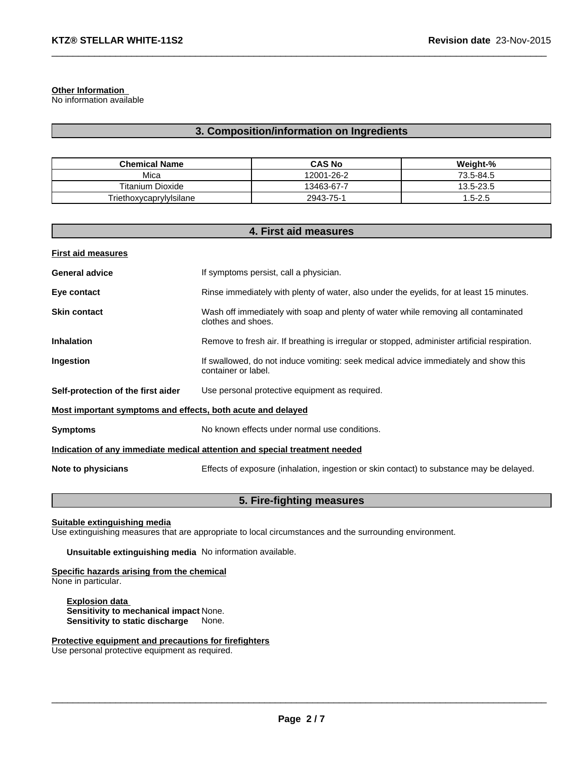#### **Other Information**

No information available

# **3. Composition/information on Ingredients**

 $\_$  ,  $\_$  ,  $\_$  ,  $\_$  ,  $\_$  ,  $\_$  ,  $\_$  ,  $\_$  ,  $\_$  ,  $\_$  ,  $\_$  ,  $\_$  ,  $\_$  ,  $\_$  ,  $\_$  ,  $\_$  ,  $\_$  ,  $\_$  ,  $\_$  ,  $\_$  ,  $\_$  ,  $\_$  ,  $\_$  ,  $\_$  ,  $\_$  ,  $\_$  ,  $\_$  ,  $\_$  ,  $\_$  ,  $\_$  ,  $\_$  ,  $\_$  ,  $\_$  ,  $\_$  ,  $\_$  ,  $\_$  ,  $\_$  ,

| <b>Chemical Name</b>    | <b>CAS No</b> | Weight-%   |
|-------------------------|---------------|------------|
| Mica                    | 12001-26-2    | 73.5-84.5  |
| <b>Titanium Dioxide</b> | 13463-67-7    | 13.5-23.5  |
| Triethoxycaprylylsilane | 2943-75-1     | $.5 - 2.5$ |

# **4. First aid measures**

| <b>First aid measures</b>                                   |                                                                                                            |
|-------------------------------------------------------------|------------------------------------------------------------------------------------------------------------|
| <b>General advice</b>                                       | If symptoms persist, call a physician.                                                                     |
| Eye contact                                                 | Rinse immediately with plenty of water, also under the eyelids, for at least 15 minutes.                   |
| <b>Skin contact</b>                                         | Wash off immediately with soap and plenty of water while removing all contaminated<br>clothes and shoes.   |
| <b>Inhalation</b>                                           | Remove to fresh air. If breathing is irregular or stopped, administer artificial respiration.              |
| Ingestion                                                   | If swallowed, do not induce vomiting: seek medical advice immediately and show this<br>container or label. |
| Self-protection of the first aider                          | Use personal protective equipment as required.                                                             |
| Most important symptoms and effects, both acute and delayed |                                                                                                            |
| <b>Symptoms</b>                                             | No known effects under normal use conditions.                                                              |
|                                                             | Indication of any immediate medical attention and special treatment needed                                 |
| Note to physicians                                          | Effects of exposure (inhalation, ingestion or skin contact) to substance may be delayed.                   |

# **5. Fire-fighting measures**

# **Suitable extinguishing media**

Use extinguishing measures that are appropriate to local circumstances and the surrounding environment.

**Unsuitable extinguishing media** No information available.

#### **Specific hazards arising from the chemical** None in particular.

**Explosion data Sensitivity to mechanical impact** None. **Sensitivity to static discharge** None.

#### **Protective equipment and precautions for firefighters** Use personal protective equipment as required.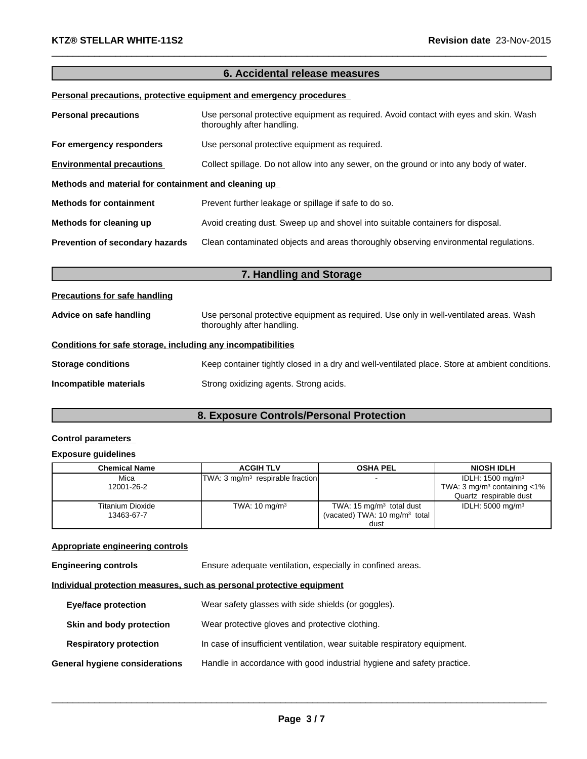# **6. Accidental release measures**

 $\_$  ,  $\_$  ,  $\_$  ,  $\_$  ,  $\_$  ,  $\_$  ,  $\_$  ,  $\_$  ,  $\_$  ,  $\_$  ,  $\_$  ,  $\_$  ,  $\_$  ,  $\_$  ,  $\_$  ,  $\_$  ,  $\_$  ,  $\_$  ,  $\_$  ,  $\_$  ,  $\_$  ,  $\_$  ,  $\_$  ,  $\_$  ,  $\_$  ,  $\_$  ,  $\_$  ,  $\_$  ,  $\_$  ,  $\_$  ,  $\_$  ,  $\_$  ,  $\_$  ,  $\_$  ,  $\_$  ,  $\_$  ,  $\_$  ,

# **Personal precautions, protective equipment and emergency procedures**

| <b>Personal precautions</b>                          | Use personal protective equipment as required. Avoid contact with eyes and skin. Wash<br>thoroughly after handling. |  |
|------------------------------------------------------|---------------------------------------------------------------------------------------------------------------------|--|
| For emergency responders                             | Use personal protective equipment as required.                                                                      |  |
| <b>Environmental precautions</b>                     | Collect spillage. Do not allow into any sewer, on the ground or into any body of water.                             |  |
| Methods and material for containment and cleaning up |                                                                                                                     |  |
| <b>Methods for containment</b>                       | Prevent further leakage or spillage if safe to do so.                                                               |  |
| Methods for cleaning up                              | Avoid creating dust. Sweep up and shovel into suitable containers for disposal.                                     |  |
| Prevention of secondary hazards                      | Clean contaminated objects and areas thoroughly observing environmental regulations.                                |  |

| 7. Handling and Storage                                                                                                                         |                                                                                                |  |
|-------------------------------------------------------------------------------------------------------------------------------------------------|------------------------------------------------------------------------------------------------|--|
| <b>Precautions for safe handling</b>                                                                                                            |                                                                                                |  |
| Use personal protective equipment as required. Use only in well-ventilated areas. Wash<br>Advice on safe handling<br>thoroughly after handling. |                                                                                                |  |
| Conditions for safe storage, including any incompatibilities                                                                                    |                                                                                                |  |
| <b>Storage conditions</b>                                                                                                                       | Keep container tightly closed in a dry and well-ventilated place. Store at ambient conditions. |  |
| Incompatible materials                                                                                                                          | Strong oxidizing agents. Strong acids.                                                         |  |

# **8. Exposure Controls/Personal Protection**

# **Control parameters**

# **Exposure guidelines**

| Chemical Name           | <b>ACGIH TLV</b>                             | <b>OSHA PEL</b>                          | <b>NIOSH IDLH</b>                          |
|-------------------------|----------------------------------------------|------------------------------------------|--------------------------------------------|
| Mica                    | TWA: 3 mg/m <sup>3</sup> respirable fraction |                                          | IDLH: $1500 \text{ mg/m}^3$                |
| 12001-26-2              |                                              |                                          | TWA: 3 mg/m <sup>3</sup> containing $<$ 1% |
|                         |                                              |                                          | Quartz respirable dust                     |
| <b>Titanium Dioxide</b> | TWA: $10 \text{ mg/m}^3$                     | TWA: 15 $mg/m3$ total dust               | IDLH: $5000 \text{ mg/m}^3$                |
| 13463-67-7              |                                              | (vacated) TWA: $10 \text{ mg/m}^3$ total |                                            |
|                         |                                              | dust                                     |                                            |

#### **Appropriate engineering controls**

**Engineering controls** Ensure adequate ventilation, especially in confined areas.

# **Individual protection measures, such as personal protective equipment**

| <b>Eye/face protection</b>     | Wear safety glasses with side shields (or goggles).                       |
|--------------------------------|---------------------------------------------------------------------------|
| Skin and body protection       | Wear protective gloves and protective clothing.                           |
| <b>Respiratory protection</b>  | In case of insufficient ventilation, wear suitable respiratory equipment. |
| General hygiene considerations | Handle in accordance with good industrial hygiene and safety practice.    |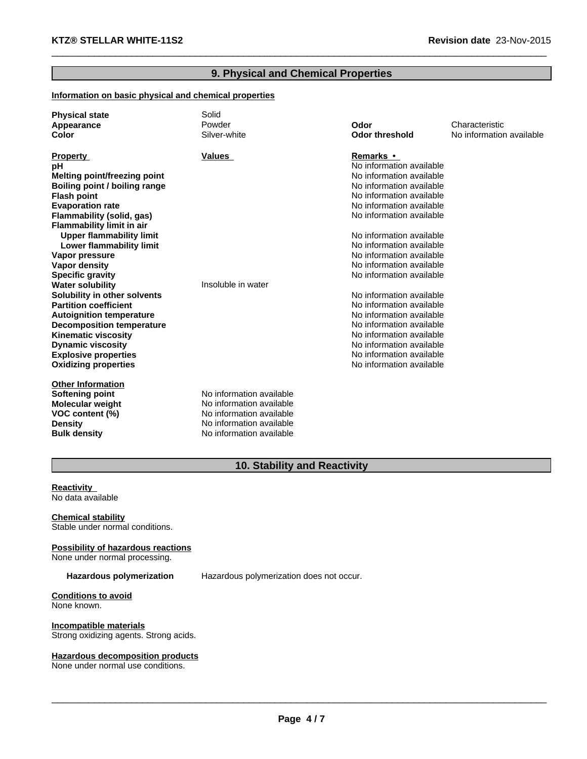# **9. Physical and Chemical Properties**

 $\_$  ,  $\_$  ,  $\_$  ,  $\_$  ,  $\_$  ,  $\_$  ,  $\_$  ,  $\_$  ,  $\_$  ,  $\_$  ,  $\_$  ,  $\_$  ,  $\_$  ,  $\_$  ,  $\_$  ,  $\_$  ,  $\_$  ,  $\_$  ,  $\_$  ,  $\_$  ,  $\_$  ,  $\_$  ,  $\_$  ,  $\_$  ,  $\_$  ,  $\_$  ,  $\_$  ,  $\_$  ,  $\_$  ,  $\_$  ,  $\_$  ,  $\_$  ,  $\_$  ,  $\_$  ,  $\_$  ,  $\_$  ,  $\_$  ,

# **Information on basic physical and chemical properties**

| <b>Physical state</b><br>Appearance<br>Color | Solid<br>Powder<br>Silver-white | Odor<br><b>Odor threshold</b> | Characteristic<br>No information available |
|----------------------------------------------|---------------------------------|-------------------------------|--------------------------------------------|
|                                              |                                 |                               |                                            |
| <b>Property</b>                              | <b>Values</b>                   | <b>Remarks</b> •              |                                            |
| рH                                           |                                 | No information available      |                                            |
| Melting point/freezing point                 |                                 | No information available      |                                            |
| Boiling point / boiling range                |                                 | No information available      |                                            |
| <b>Flash point</b>                           |                                 | No information available      |                                            |
| <b>Evaporation rate</b>                      |                                 | No information available      |                                            |
| Flammability (solid, gas)                    |                                 | No information available      |                                            |
| <b>Flammability limit in air</b>             |                                 |                               |                                            |
| <b>Upper flammability limit</b>              |                                 | No information available      |                                            |
| Lower flammability limit                     |                                 | No information available      |                                            |
| Vapor pressure                               |                                 | No information available      |                                            |
| Vapor density                                |                                 | No information available      |                                            |
| <b>Specific gravity</b>                      |                                 | No information available      |                                            |
| <b>Water solubility</b>                      | Insoluble in water              |                               |                                            |
| Solubility in other solvents                 |                                 | No information available      |                                            |
| <b>Partition coefficient</b>                 |                                 | No information available      |                                            |
| <b>Autoignition temperature</b>              |                                 | No information available      |                                            |
| <b>Decomposition temperature</b>             |                                 | No information available      |                                            |
| <b>Kinematic viscosity</b>                   |                                 | No information available      |                                            |
| <b>Dynamic viscosity</b>                     |                                 | No information available      |                                            |
| <b>Explosive properties</b>                  |                                 | No information available      |                                            |
| <b>Oxidizing properties</b>                  |                                 | No information available      |                                            |
| <b>Other Information</b>                     |                                 |                               |                                            |
| Softening point                              | No information available        |                               |                                            |
| <b>Molecular weight</b>                      | No information available        |                               |                                            |
| VOC content (%)                              | No information available        |                               |                                            |
| <b>Density</b>                               | No information available        |                               |                                            |
| <b>Bulk density</b>                          | No information available        |                               |                                            |

# **10. Stability and Reactivity**

**Reactivity**  No data available

**Chemical stability** Stable under normal conditions.

**Possibility of hazardous reactions**

None under normal processing.

**Hazardous polymerization** Hazardous polymerization does not occur.

**Conditions to avoid** None known.

**Incompatible materials** Strong oxidizing agents. Strong acids.

# **Hazardous decomposition products**

None under normal use conditions.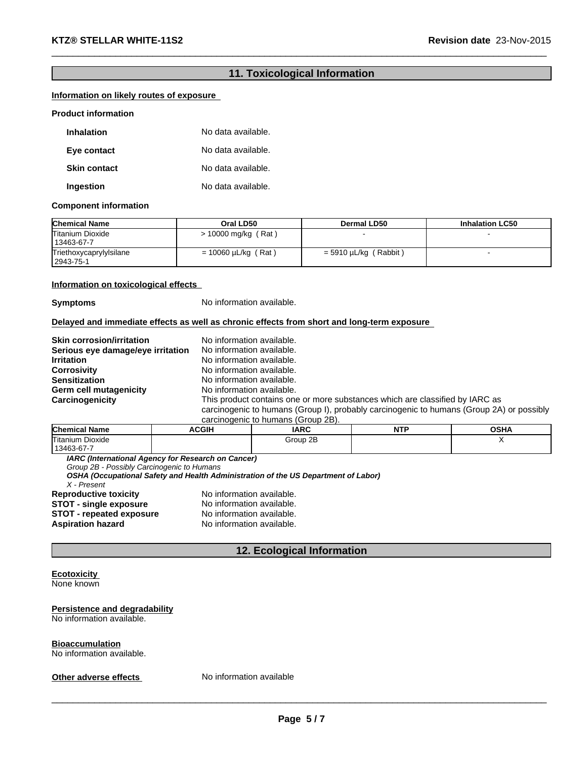# **11. Toxicological Information**

 $\_$  ,  $\_$  ,  $\_$  ,  $\_$  ,  $\_$  ,  $\_$  ,  $\_$  ,  $\_$  ,  $\_$  ,  $\_$  ,  $\_$  ,  $\_$  ,  $\_$  ,  $\_$  ,  $\_$  ,  $\_$  ,  $\_$  ,  $\_$  ,  $\_$  ,  $\_$  ,  $\_$  ,  $\_$  ,  $\_$  ,  $\_$  ,  $\_$  ,  $\_$  ,  $\_$  ,  $\_$  ,  $\_$  ,  $\_$  ,  $\_$  ,  $\_$  ,  $\_$  ,  $\_$  ,  $\_$  ,  $\_$  ,  $\_$  ,

# **Information on likely routes of exposure**

#### **Product information**

| <b>Inhalation</b>   | No data available. |
|---------------------|--------------------|
| Eye contact         | No data available. |
| <b>Skin contact</b> | No data available. |
| Ingestion           | No data available. |

#### **Component information**

| <b>Chemical Name</b>                   | Oral LD50                | Dermal LD50                  | <b>Inhalation LC50</b> |
|----------------------------------------|--------------------------|------------------------------|------------------------|
| <b>Titanium Dioxide</b><br>13463-67-7  | > 10000 mg/kg (Rat)      |                              |                        |
| Triethoxycaprylylsilane<br>  2943-75-1 | $= 10060 \mu L/kg$ (Rat) | (Rabbit)<br>$=$ 5910 µL/kg ( |                        |

#### **Information on toxicological effects**

**Symptoms** No information available.

#### **Delayed and immediate effects as well as chronic effects from short and long-term exposure**

| <b>Skin corrosion/irritation</b>  | No information available.                                                                |
|-----------------------------------|------------------------------------------------------------------------------------------|
|                                   |                                                                                          |
| Serious eye damage/eye irritation | No information available.                                                                |
| <b>Irritation</b>                 | No information available.                                                                |
| <b>Corrosivity</b>                | No information available.                                                                |
| <b>Sensitization</b>              | No information available.                                                                |
| Germ cell mutagenicity            | No information available.                                                                |
| Carcinogenicity                   | This product contains one or more substances which are classified by IARC as             |
|                                   | carcinogenic to humans (Group I), probably carcinogenic to humans (Group 2A) or possibly |
|                                   | carcinogenic to humane (Croup 2R)                                                        |

| Carcific define to Humans (Group ZD). |       |          |           |             |
|---------------------------------------|-------|----------|-----------|-------------|
| <b>Chemical Name</b>                  | ACGIH | IARC     | םדוא<br>. | <b>OSHA</b> |
| <b>Titanium Dioxide</b>               |       | Group 2B |           |             |
| $13463 - 67 - 7$                      |       |          |           |             |

*IARC (International Agency for Research on Cancer)*

*Group 2B - Possibly Carcinogenic to Humans*

*OSHA (Occupational Safety and Health Administration of the US Department of Labor) X - Present*

**Reproductive toxicity** No information available.<br>**STOT - single exposure** No information available. **STOT - single exposure STOT - repeated exposure** No information available. **Aspiration hazard** No information available.

# **12. Ecological Information**

# **Ecotoxicity**

None known

# **Persistence and degradability**

No information available.

#### **Bioaccumulation**

No information available.

**Other adverse effects** No information available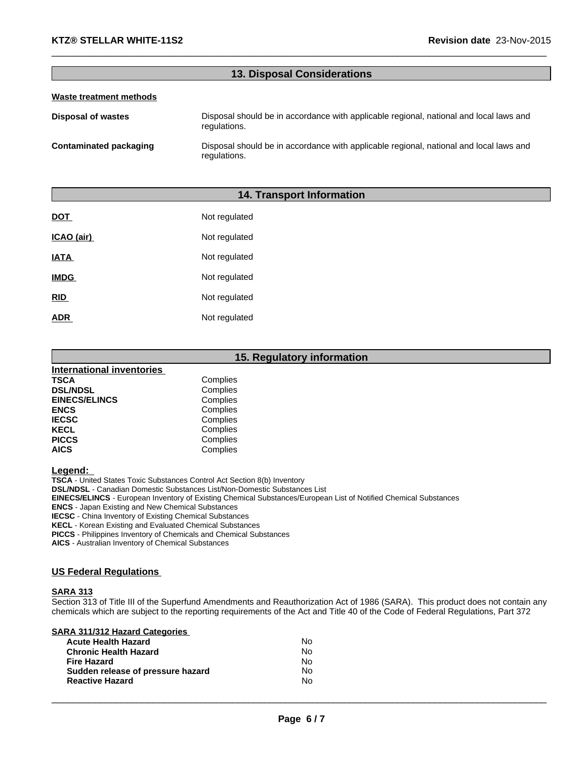# **13. Disposal Considerations**

 $\_$  ,  $\_$  ,  $\_$  ,  $\_$  ,  $\_$  ,  $\_$  ,  $\_$  ,  $\_$  ,  $\_$  ,  $\_$  ,  $\_$  ,  $\_$  ,  $\_$  ,  $\_$  ,  $\_$  ,  $\_$  ,  $\_$  ,  $\_$  ,  $\_$  ,  $\_$  ,  $\_$  ,  $\_$  ,  $\_$  ,  $\_$  ,  $\_$  ,  $\_$  ,  $\_$  ,  $\_$  ,  $\_$  ,  $\_$  ,  $\_$  ,  $\_$  ,  $\_$  ,  $\_$  ,  $\_$  ,  $\_$  ,  $\_$  ,

#### **Waste treatment methods**

| Disposal of wastes     | Disposal should be in accordance with applicable regional, national and local laws and<br>regulations. |
|------------------------|--------------------------------------------------------------------------------------------------------|
| Contaminated packaging | Disposal should be in accordance with applicable regional, national and local laws and<br>regulations. |

# **14. Transport Information**

| DOT         | Not regulated |
|-------------|---------------|
| ICAO (air)  | Not regulated |
| <b>IATA</b> | Not regulated |
| <b>IMDG</b> | Not regulated |
| RID         | Not regulated |
| <b>ADR</b>  | Not regulated |

# **15. Regulatory information**

| International inventories |          |  |
|---------------------------|----------|--|
| <b>TSCA</b>               | Complies |  |
| <b>DSL/NDSL</b>           | Complies |  |
| <b>EINECS/ELINCS</b>      | Complies |  |
| <b>ENCS</b>               | Complies |  |
| <b>IECSC</b>              | Complies |  |
| <b>KECL</b>               | Complies |  |
| <b>PICCS</b>              | Complies |  |
| <b>AICS</b>               | Complies |  |

**Legend:** 

**TSCA** - United States Toxic Substances Control Act Section 8(b) Inventory

**DSL/NDSL** - Canadian Domestic Substances List/Non-Domestic Substances List

**EINECS/ELINCS** - European Inventory of Existing Chemical Substances/European List of Notified Chemical Substances

**ENCS** - Japan Existing and New Chemical Substances

**IECSC** - China Inventory of Existing Chemical Substances

**KECL** - Korean Existing and Evaluated Chemical Substances

**PICCS** - Philippines Inventory of Chemicals and Chemical Substances

**AICS** - Australian Inventory of Chemical Substances

### **US Federal Regulations**

#### **SARA 313**

Section 313 of Title III of the Superfund Amendments and Reauthorization Act of 1986 (SARA). This product does not contain any chemicals which are subject to the reporting requirements of the Act and Title 40 of the Code of Federal Regulations, Part 372

| <b>SARA 311/312 Hazard Categories</b> |  |
|---------------------------------------|--|
|---------------------------------------|--|

| <b>Acute Health Hazard</b>        | Nο  |
|-----------------------------------|-----|
| <b>Chronic Health Hazard</b>      | No. |
| <b>Fire Hazard</b>                | Nο  |
| Sudden release of pressure hazard | No  |
| <b>Reactive Hazard</b>            | Nο  |